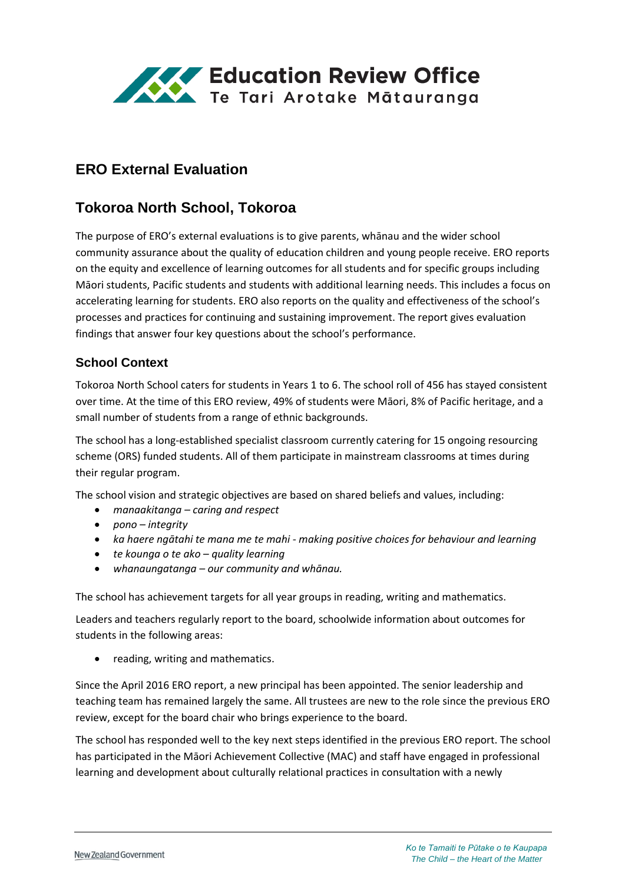

# **ERO External Evaluation**

## **Tokoroa North School, Tokoroa**

The purpose of ERO's external evaluations is to give parents, whānau and the wider school community assurance about the quality of education children and young people receive. ERO reports on the equity and excellence of learning outcomes for all students and for specific groups including Māori students, Pacific students and students with additional learning needs. This includes a focus on accelerating learning for students. ERO also reports on the quality and effectiveness of the school's processes and practices for continuing and sustaining improvement. The report gives evaluation findings that answer four key questions about the school's performance.

#### **School Context**

Tokoroa North School caters for students in Years 1 to 6. The school roll of 456 has stayed consistent over time. At the time of this ERO review, 49% of students were Māori, 8% of Pacific heritage, and a small number of students from a range of ethnic backgrounds.

The school has a long-established specialist classroom currently catering for 15 ongoing resourcing scheme (ORS) funded students. All of them participate in mainstream classrooms at times during their regular program.

The school vision and strategic objectives are based on shared beliefs and values, including:

- *manaakitanga – caring and respect*
- *pono – integrity*
- *ka haere ngātahi te mana me te mahi - making positive choices for behaviour and learning*
- *te kounga o te ako – quality learning*
- *whanaungatanga – our community and whānau.*

The school has achievement targets for all year groups in reading, writing and mathematics.

Leaders and teachers regularly report to the board, schoolwide information about outcomes for students in the following areas:

• reading, writing and mathematics.

Since the April 2016 ERO report, a new principal has been appointed. The senior leadership and teaching team has remained largely the same. All trustees are new to the role since the previous ERO review, except for the board chair who brings experience to the board.

The school has responded well to the key next steps identified in the previous ERO report. The school has participated in the Māori Achievement Collective (MAC) and staff have engaged in professional learning and development about culturally relational practices in consultation with a newly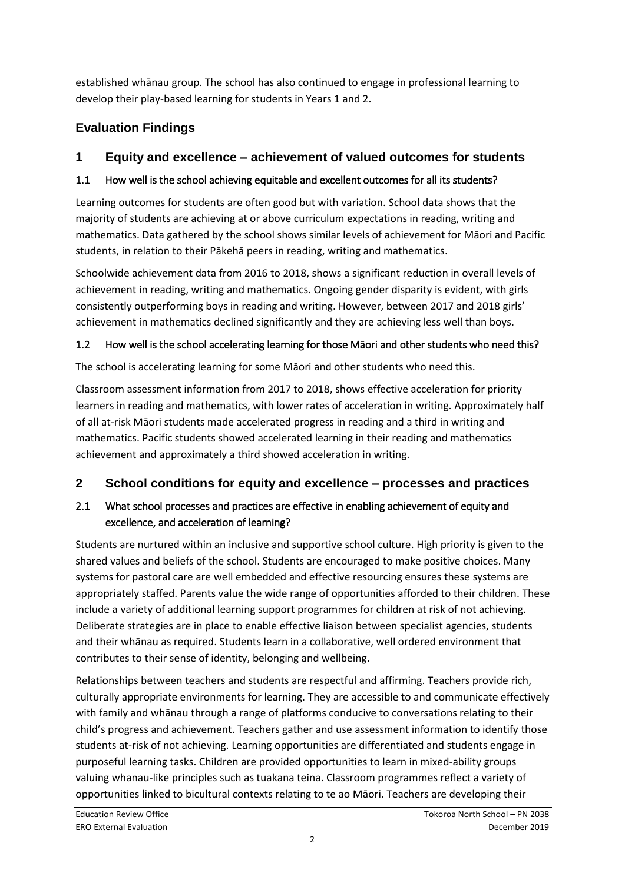established whānau group. The school has also continued to engage in professional learning to develop their play-based learning for students in Years 1 and 2.

# **Evaluation Findings**

## **1 Equity and excellence – achievement of valued outcomes for students**

### 1.1 How well is the school achieving equitable and excellent outcomes for all its students?

Learning outcomes for students are often good but with variation. School data shows that the majority of students are achieving at or above curriculum expectations in reading, writing and mathematics. Data gathered by the school shows similar levels of achievement for Māori and Pacific students, in relation to their Pākehā peers in reading, writing and mathematics.

Schoolwide achievement data from 2016 to 2018, shows a significant reduction in overall levels of achievement in reading, writing and mathematics. Ongoing gender disparity is evident, with girls consistently outperforming boys in reading and writing. However, between 2017 and 2018 girls' achievement in mathematics declined significantly and they are achieving less well than boys.

## 1.2 How well is the school accelerating learning for those Māori and other students who need this?

The school is accelerating learning for some Māori and other students who need this.

Classroom assessment information from 2017 to 2018, shows effective acceleration for priority learners in reading and mathematics, with lower rates of acceleration in writing. Approximately half of all at-risk Māori students made accelerated progress in reading and a third in writing and mathematics. Pacific students showed accelerated learning in their reading and mathematics achievement and approximately a third showed acceleration in writing.

# **2 School conditions for equity and excellence – processes and practices**

## 2.1 What school processes and practices are effective in enabling achievement of equity and excellence, and acceleration of learning?

Students are nurtured within an inclusive and supportive school culture. High priority is given to the shared values and beliefs of the school. Students are encouraged to make positive choices. Many systems for pastoral care are well embedded and effective resourcing ensures these systems are appropriately staffed. Parents value the wide range of opportunities afforded to their children. These include a variety of additional learning support programmes for children at risk of not achieving. Deliberate strategies are in place to enable effective liaison between specialist agencies, students and their whānau as required. Students learn in a collaborative, well ordered environment that contributes to their sense of identity, belonging and wellbeing.

Relationships between teachers and students are respectful and affirming. Teachers provide rich, culturally appropriate environments for learning. They are accessible to and communicate effectively with family and whānau through a range of platforms conducive to conversations relating to their child's progress and achievement. Teachers gather and use assessment information to identify those students at-risk of not achieving. Learning opportunities are differentiated and students engage in purposeful learning tasks. Children are provided opportunities to learn in mixed-ability groups valuing whanau-like principles such as tuakana teina. Classroom programmes reflect a variety of opportunities linked to bicultural contexts relating to te ao Māori. Teachers are developing their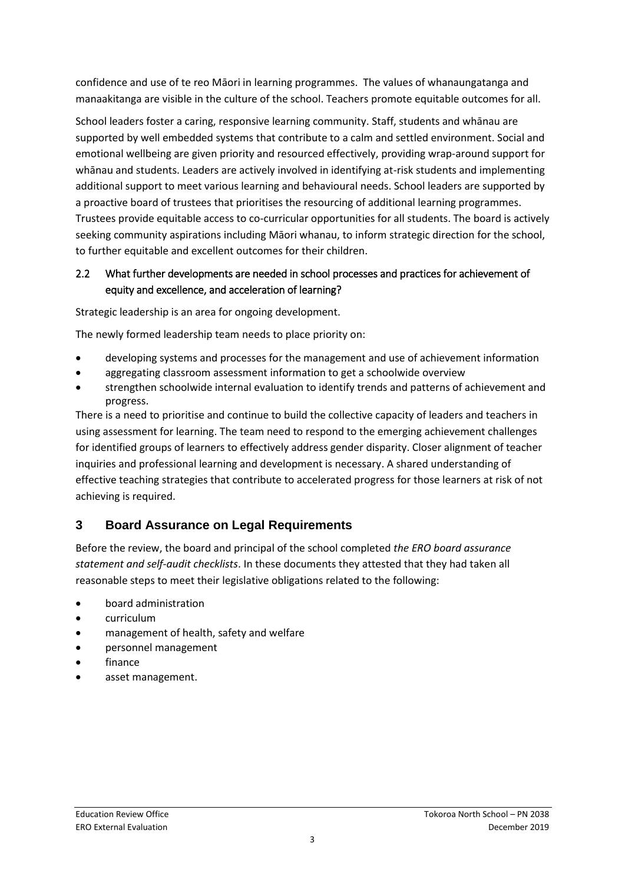confidence and use of te reo Māori in learning programmes. The values of whanaungatanga and manaakitanga are visible in the culture of the school. Teachers promote equitable outcomes for all.

School leaders foster a caring, responsive learning community. Staff, students and whānau are supported by well embedded systems that contribute to a calm and settled environment. Social and emotional wellbeing are given priority and resourced effectively, providing wrap-around support for whānau and students. Leaders are actively involved in identifying at-risk students and implementing additional support to meet various learning and behavioural needs. School leaders are supported by a proactive board of trustees that prioritises the resourcing of additional learning programmes. Trustees provide equitable access to co-curricular opportunities for all students. The board is actively seeking community aspirations including Māori whanau, to inform strategic direction for the school, to further equitable and excellent outcomes for their children.

#### 2.2 What further developments are needed in school processes and practices for achievement of equity and excellence, and acceleration of learning?

Strategic leadership is an area for ongoing development.

The newly formed leadership team needs to place priority on:

- developing systems and processes for the management and use of achievement information
- aggregating classroom assessment information to get a schoolwide overview
- strengthen schoolwide internal evaluation to identify trends and patterns of achievement and progress.

There is a need to prioritise and continue to build the collective capacity of leaders and teachers in using assessment for learning. The team need to respond to the emerging achievement challenges for identified groups of learners to effectively address gender disparity. Closer alignment of teacher inquiries and professional learning and development is necessary. A shared understanding of effective teaching strategies that contribute to accelerated progress for those learners at risk of not achieving is required.

### **3 Board Assurance on Legal Requirements**

Before the review, the board and principal of the school completed *the ERO board assurance statement and self-audit checklists*. In these documents they attested that they had taken all reasonable steps to meet their legislative obligations related to the following:

- board administration
- curriculum
- management of health, safety and welfare
- personnel management
- finance
- asset management.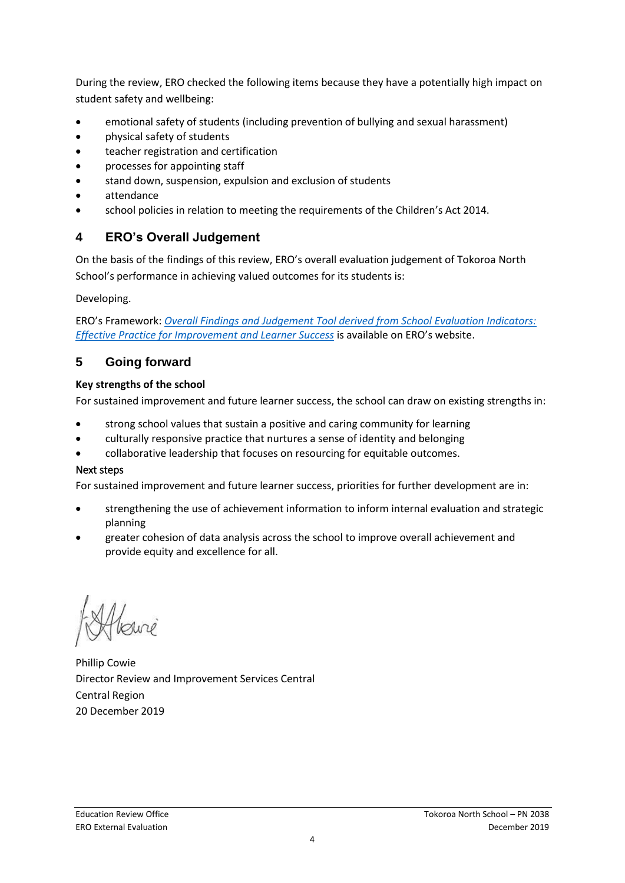During the review, ERO checked the following items because they have a potentially high impact on student safety and wellbeing:

- emotional safety of students (including prevention of bullying and sexual harassment)
- physical safety of students
- teacher registration and certification
- processes for appointing staff
- stand down, suspension, expulsion and exclusion of students
- attendance
- school policies in relation to meeting the requirements of the Children's Act 2014.

#### **4 ERO's Overall Judgement**

On the basis of the findings of this review, ERO's overall evaluation judgement of Tokoroa North School's performance in achieving valued outcomes for its students is:

Developing.

ERO's Framework: *[Overall Findings and Judgement Tool derived from School Evaluation Indicators:](https://www.ero.govt.nz/assets/Uploads/ERO-18798-1-AF-Overall-findings-and-judgements-document-v4.pdf)  [Effective Practice for Improvement and Learner Success](https://www.ero.govt.nz/assets/Uploads/ERO-18798-1-AF-Overall-findings-and-judgements-document-v4.pdf)* is available on ERO's website.

### **5 Going forward**

#### **Key strengths of the school**

For sustained improvement and future learner success, the school can draw on existing strengths in:

- strong school values that sustain a positive and caring community for learning
- culturally responsive practice that nurtures a sense of identity and belonging
- collaborative leadership that focuses on resourcing for equitable outcomes.

#### Next steps

For sustained improvement and future learner success, priorities for further development are in:

- strengthening the use of achievement information to inform internal evaluation and strategic planning
- greater cohesion of data analysis across the school to improve overall achievement and provide equity and excellence for all.

Phillip Cowie Director Review and Improvement Services Central Central Region 20 December 2019